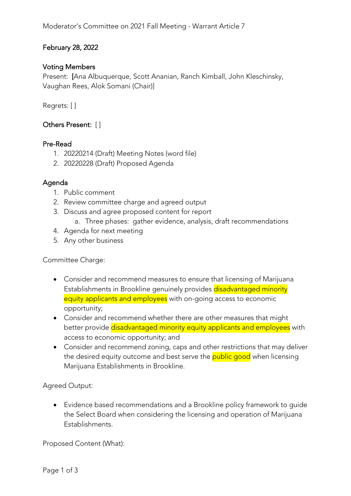# February 28, 2022

## Voting Members

Present: [Ana Albuquerque, Scott Ananian, Ranch Kimball, John Kleschinsky, Vaughan Rees, Alok Somani (Chair)]

Regrets: [ ]

## Others Present: [ ]

#### Pre-Read

- 1. 20220214 (Draft) Meeting Notes (word file)
- 2. 20220228 (Draft) Proposed Agenda

#### Agenda

- 1. Public comment
- 2. Review committee charge and agreed output
- 3. Discuss and agree proposed content for report
	- a. Three phases: gather evidence, analysis, draft recommendations
- 4. Agenda for next meeting
- 5. Any other business

Committee Charge:

- Consider and recommend measures to ensure that licensing of Marijuana Establishments in Brookline genuinely provides disadvantaged minority equity applicants and employees with on-going access to economic opportunity;
- Consider and recommend whether there are other measures that might better provide disadvantaged minority equity applicants and employees with access to economic opportunity; and
- Consider and recommend zoning, caps and other restrictions that may deliver the desired equity outcome and best serve the **public good** when licensing Marijuana Establishments in Brookline.

Agreed Output:

• Evidence based recommendations and a Brookline policy framework to guide the Select Board when considering the licensing and operation of Marijuana Establishments.

Proposed Content (What):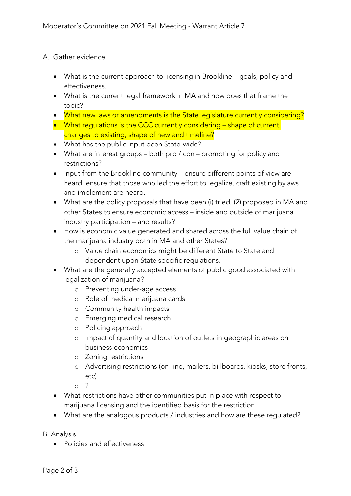## A. Gather evidence

- What is the current approach to licensing in Brookline goals, policy and effectiveness.
- What is the current legal framework in MA and how does that frame the topic?
- What new laws or amendments is the State legislature currently considering?
- What regulations is the CCC currently considering shape of current, changes to existing, shape of new and timeline?
- What has the public input been State-wide?
- What are interest groups both pro / con promoting for policy and restrictions?
- Input from the Brookline community ensure different points of view are heard, ensure that those who led the effort to legalize, craft existing bylaws and implement are heard.
- What are the policy proposals that have been (i) tried, (2) proposed in MA and other States to ensure economic access – inside and outside of marijuana industry participation – and results?
- How is economic value generated and shared across the full value chain of the marijuana industry both in MA and other States?
	- o Value chain economics might be different State to State and dependent upon State specific regulations.
- What are the generally accepted elements of public good associated with legalization of marijuana?
	- o Preventing under-age access
	- o Role of medical marijuana cards
	- o Community health impacts
	- o Emerging medical research
	- o Policing approach
	- o Impact of quantity and location of outlets in geographic areas on business economics
	- o Zoning restrictions
	- o Advertising restrictions (on-line, mailers, billboards, kiosks, store fronts, etc)
	- $\circ$  ?
- What restrictions have other communities put in place with respect to marijuana licensing and the identified basis for the restriction.
- What are the analogous products / industries and how are these regulated?

B. Analysis

• Policies and effectiveness